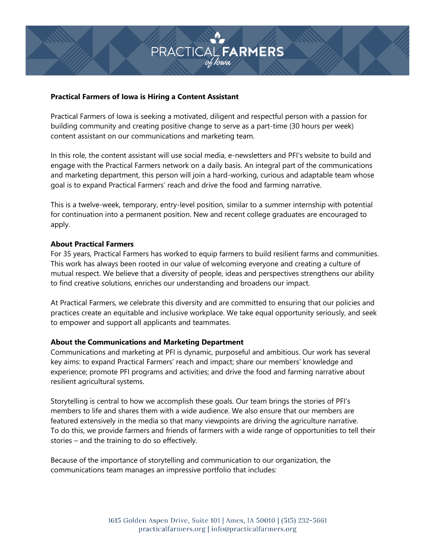# **PRACTICAL FARMERS**

### **Practical Farmers of Iowa is Hiring a Content Assistant**

Practical Farmers of Iowa is seeking a motivated, diligent and respectful person with a passion for building community and creating positive change to serve as a part-time (30 hours per week) content assistant on our communications and marketing team.

In this role, the content assistant will use social media, e-newsletters and PFI's website to build and engage with the Practical Farmers network on a daily basis. An integral part of the communications and marketing department, this person will join a hard-working, curious and adaptable team whose goal is to expand Practical Farmers' reach and drive the food and farming narrative.

This is a twelve-week, temporary, entry-level position, similar to a summer internship with potential for continuation into a permanent position. New and recent college graduates are encouraged to apply.

### **About Practical Farmers**

For 35 years, Practical Farmers has worked to equip farmers to build resilient farms and communities. This work has always been rooted in our value of welcoming everyone and creating a culture of mutual respect. We believe that a diversity of people, ideas and perspectives strengthens our ability to find creative solutions, enriches our understanding and broadens our impact.

At Practical Farmers, we celebrate this diversity and are committed to ensuring that our policies and practices create an equitable and inclusive workplace. We take equal opportunity seriously, and seek to empower and support all applicants and teammates.

# **About the Communications and Marketing Department**

Communications and marketing at PFI is dynamic, purposeful and ambitious. Our work has several key aims: to expand Practical Farmers' reach and impact; share our members' knowledge and experience; promote PFI programs and activities; and drive the food and farming narrative about resilient agricultural systems.

Storytelling is central to how we accomplish these goals. Our team brings the stories of PFI's members to life and shares them with a wide audience. We also ensure that our members are featured extensively in the media so that many viewpoints are driving the agriculture narrative. To do this, we provide farmers and friends of farmers with a wide range of opportunities to tell their stories – and the training to do so effectively.

Because of the importance of storytelling and communication to our organization, the communications team manages an impressive portfolio that includes: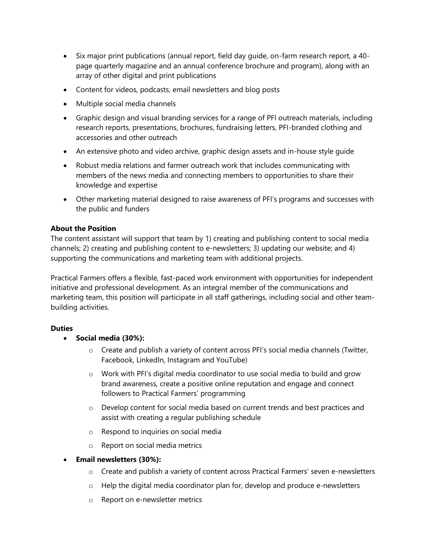- Six major print publications (annual report, field day quide, on-farm research report, a 40page quarterly magazine and an annual conference brochure and program), along with an array of other digital and print publications
- Content for videos, podcasts, email newsletters and blog posts
- Multiple social media channels
- Graphic design and visual branding services for a range of PFI outreach materials, including research reports, presentations, brochures, fundraising letters, PFI-branded clothing and accessories and other outreach
- An extensive photo and video archive, graphic design assets and in-house style guide
- Robust media relations and farmer outreach work that includes communicating with members of the news media and connecting members to opportunities to share their knowledge and expertise
- Other marketing material designed to raise awareness of PFI's programs and successes with the public and funders

# **About the Position**

The content assistant will support that team by 1) creating and publishing content to social media channels; 2) creating and publishing content to e-newsletters; 3) updating our website; and 4) supporting the communications and marketing team with additional projects.

Practical Farmers offers a flexible, fast-paced work environment with opportunities for independent initiative and professional development. As an integral member of the communications and marketing team, this position will participate in all staff gatherings, including social and other teambuilding activities.

# **Duties**

- **Social media (30%):**
	- $\circ$  Create and publish a variety of content across PFI's social media channels (Twitter, Facebook, LinkedIn, Instagram and YouTube)
	- $\circ$  Work with PFI's digital media coordinator to use social media to build and grow brand awareness, create a positive online reputation and engage and connect followers to Practical Farmers' programming
	- $\circ$  Develop content for social media based on current trends and best practices and assist with creating a regular publishing schedule
	- o Respond to inquiries on social media
	- o Report on social media metrics

# **Email newsletters (30%):**

- o Create and publish a variety of content across Practical Farmers' seven e-newsletters
- $\circ$  Help the digital media coordinator plan for, develop and produce e-newsletters
- o Report on e-newsletter metrics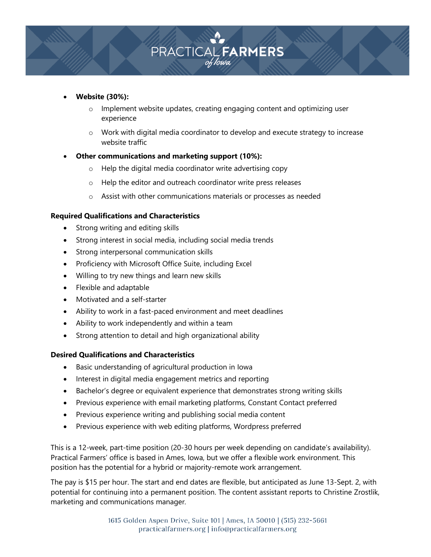

### **Website (30%):**

- o Implement website updates, creating engaging content and optimizing user experience
- $\circ$  Work with digital media coordinator to develop and execute strategy to increase website traffic

# **Other communications and marketing support (10%):**

- o Help the digital media coordinator write advertising copy
- o Help the editor and outreach coordinator write press releases
- o Assist with other communications materials or processes as needed

### **Required Qualifications and Characteristics**

- Strong writing and editing skills
- Strong interest in social media, including social media trends
- Strong interpersonal communication skills
- Proficiency with Microsoft Office Suite, including Excel
- Willing to try new things and learn new skills
- Flexible and adaptable
- Motivated and a self-starter
- Ability to work in a fast-paced environment and meet deadlines
- Ability to work independently and within a team
- Strong attention to detail and high organizational ability

### **Desired Qualifications and Characteristics**

- Basic understanding of agricultural production in Iowa
- Interest in digital media engagement metrics and reporting
- Bachelor's degree or equivalent experience that demonstrates strong writing skills
- Previous experience with email marketing platforms, Constant Contact preferred
- Previous experience writing and publishing social media content
- Previous experience with web editing platforms, Wordpress preferred

This is a 12-week, part-time position (20-30 hours per week depending on candidate's availability). Practical Farmers' office is based in Ames, Iowa, but we offer a flexible work environment. This position has the potential for a hybrid or majority-remote work arrangement.

The pay is \$15 per hour. The start and end dates are flexible, but anticipated as June 13-Sept. 2, with potential for continuing into a permanent position. The content assistant reports to Christine Zrostlik, marketing and communications manager*.*